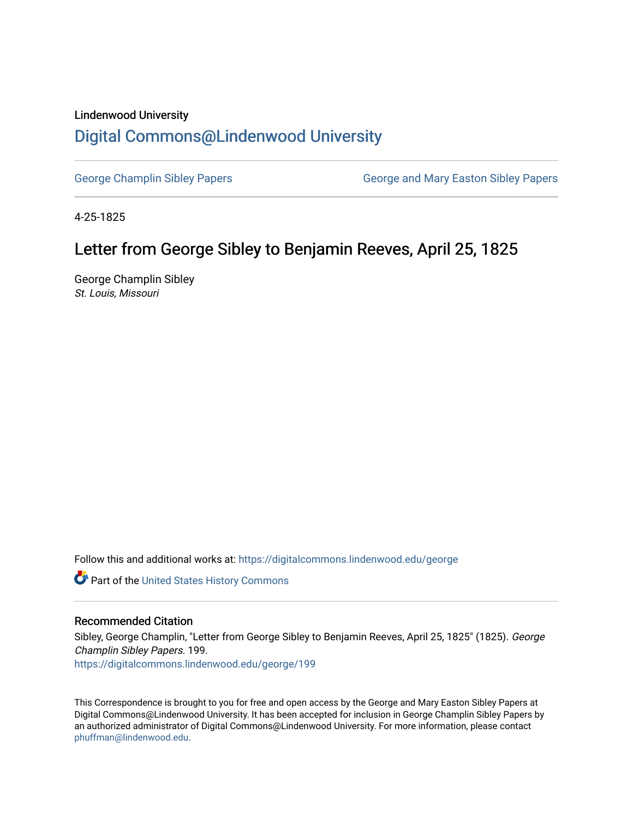## Lindenwood University

## [Digital Commons@Lindenwood University](https://digitalcommons.lindenwood.edu/)

[George Champlin Sibley Papers](https://digitalcommons.lindenwood.edu/george) George and Mary Easton Sibley Papers

4-25-1825

## Letter from George Sibley to Benjamin Reeves, April 25, 1825

George Champlin Sibley St. Louis, Missouri

Follow this and additional works at: [https://digitalcommons.lindenwood.edu/george](https://digitalcommons.lindenwood.edu/george?utm_source=digitalcommons.lindenwood.edu%2Fgeorge%2F199&utm_medium=PDF&utm_campaign=PDFCoverPages)

Part of the [United States History Commons](http://network.bepress.com/hgg/discipline/495?utm_source=digitalcommons.lindenwood.edu%2Fgeorge%2F199&utm_medium=PDF&utm_campaign=PDFCoverPages) 

## Recommended Citation

Sibley, George Champlin, "Letter from George Sibley to Benjamin Reeves, April 25, 1825" (1825). George Champlin Sibley Papers. 199. [https://digitalcommons.lindenwood.edu/george/199](https://digitalcommons.lindenwood.edu/george/199?utm_source=digitalcommons.lindenwood.edu%2Fgeorge%2F199&utm_medium=PDF&utm_campaign=PDFCoverPages)

This Correspondence is brought to you for free and open access by the George and Mary Easton Sibley Papers at Digital Commons@Lindenwood University. It has been accepted for inclusion in George Champlin Sibley Papers by an authorized administrator of Digital Commons@Lindenwood University. For more information, please contact [phuffman@lindenwood.edu](mailto:phuffman@lindenwood.edu).